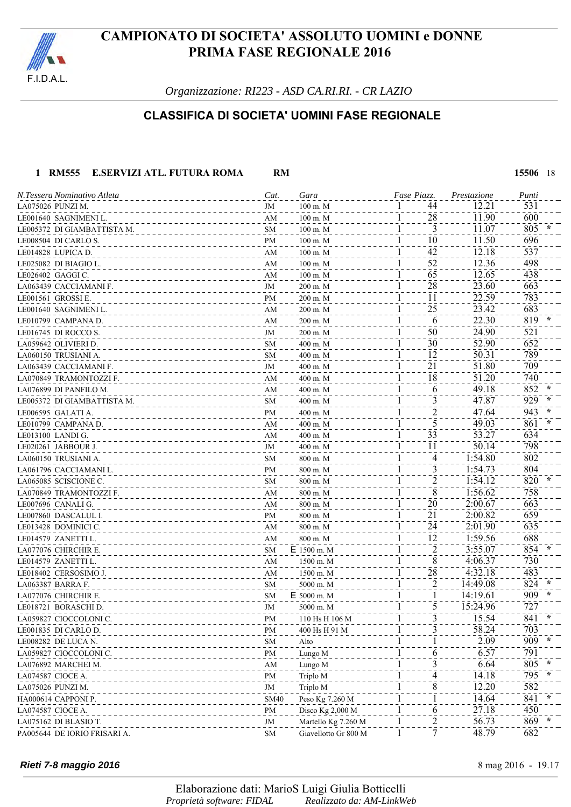

*Organizzazione: RI223 - ASD CA.RI.RI. - CR LAZIO*

### **CLASSIFICA DI SOCIETA' UOMINI FASE REGIONALE**

#### **1 RM555 E.SERVIZI ATL. FUTURA ROMA RM 15506** 18

| N.Tessera Nominativo Atleta  | Cat.        | Gara                 | Fase Piazz.        | Prestazione | Punti |
|------------------------------|-------------|----------------------|--------------------|-------------|-------|
| LA075026 PUNZI M.            | JM          | $100 \text{ m}$ . M  | 44                 | 12.21       | 531   |
| LE001640 SAGNIMENI L.        | AM          | $100 \text{ m}$ . M  | 28<br>$\perp$      | 11.90       | 600   |
| LE005372 DI GIAMBATTISTA M.  | SM          | $100 \text{ m}$ . M  | 3<br>$\mathbf{I}$  | 11.07       | 805   |
| LE008504 DI CARLO S.         | PM          | $100 \text{ m}$ . M  | 10<br>1            | 11.50       | 696   |
| LE014828 LUPICA D.           | AM          | $100 \text{ m}$ . M  | 42<br>$\mathbf{I}$ | 12.18       | 537   |
| LE025082 DI BIAGIO L.        | AM          | $100 \text{ m}$ . M  | 52<br>$\mathbf{I}$ | 12.36       | 498   |
| LE026402 GAGGI C.            | AM          | $100 \text{ m}$ . M  | 65<br>1            | 12.65       | 438   |
| LA063439 CACCIAMANI F.       | JM          | 200 m. M             | 28<br>1            | 23.60       | 663   |
| LE001561 GROSSIE.            | PM          | $200$ m. M           | 11                 | 22.59       | 783   |
| LE001640 SAGNIMENI L.        | AM          | 200 m. M             | 25                 | 23.42       | 683   |
| LE010799 CAMPANA D.          | AM          | 200 m. M             | 6                  | 22.30       | 819   |
| LE016745 DI ROCCO S.         | JM          | 200 m. M             | 50<br>1            | 24.90       | 521   |
| LA059642 OLIVIERI D.         | SM          | 400 m. M             | 30                 | 52.90       | 652   |
| LA060150 TRUSIANI A.         | SM          | 400 m. M             | 12                 | 50.31       | 789   |
| LA063439 CACCIAMANI F.       | JM          | 400 m. M             | 21                 | 51.80       | 709   |
| LA070849 TRAMONTOZZI F.      | AM          | 400 m. M             | 18                 | 51.20       | 740   |
| LA076899 DI PANFILO M.       | AM          | 400 m. M             | 6                  | 49.18       | 852   |
| LE005372 DI GIAMBATTISTA M.  | SM          | 400 m. M             | 3                  | 47.87       | 929   |
| LE006595 GALATIA.            | PM          | 400 m. M             | $\overline{c}$     | 47.64       | 943   |
| LE010799 CAMPANA D.          | AM          | 400 m. M             | 5                  | 49.03       | 861   |
| LE013100 LANDI G.            | AM          | 400 m. M             | 33                 | 53.27       | 634   |
| LE020261 JABBOUR J.          | JM          | 400 m. M             | 11                 | 50.14       | 798   |
| LA060150 TRUSIANI A.         | SM          | 800 m. M             | 4                  | 1:54.80     | 802   |
| LA061796 CACCIAMANI L.       | PM          | 800 m. M             | 3                  | 1:54.73     | 804   |
| LA065085 SCISCIONE C.        | SM          | 800 m. M             | 2                  | 1:54.12     | 820   |
| LA070849 TRAMONTOZZI F.      | AM          | 800 m. M             | 8                  | 1:56.62     | 758   |
| LE007696 CANALI G.           | AM          | 800 m. M             | 20                 | 2:00.67     | 663   |
| LE007860 DASCALUL I.         | PM          | 800 m. M             | 21                 | 2:00.82     | 659   |
| LE013428 DOMINICI C.         | AM          | 800 m. M             | 24                 | 2:01.90     | 635   |
| LE014579 ZANETTI L.          | AM          | 800 m. M             | 12                 | 1:59.56     | 688   |
| LA077076 CHIRCHIR E.         | SM          | $E$ 1500 m. M        | 2                  | 3:55.07     | 854   |
| LE014579 ZANETTI L.          | AM          | 1500 m. M            | 8                  | 4:06.37     | 730   |
| LE018402 CERSOSIMO J.        | AM          | 1500 m. M            | 28                 | 4:32.18     | 483   |
| LA063387 BARRA F.            | SM          | 5000 m. M            | 2                  | 14:49.08    | 824   |
| LA077076 CHIRCHIR E.         | <b>SM</b>   | E 5000 m. M          |                    | 14:19.61    | 909   |
| LE018721 BORASCHI D.         | JM          | 5000 m. M            | 5                  | 15:24.96    | 727   |
| LA059827 CIOCCOLONI C.       | PM          | 110 Hs H 106 M       |                    | 15.54       | 841 * |
| LE001835 DI CARLO D.         | PM          | 400 Hs H 91 M        |                    | 58.24       | 703   |
| LE008282 DE LUCA N.          | <b>SM</b>   | Alto                 |                    | 2.09        | 909   |
| LA059827 CIOCCOLONI C.       | PM          | Lungo M              | 6                  | 6.57        | 791   |
| LA076892 MARCHEI M.          | AM          | Lungo M              | 3                  | 6.64        | 805   |
| LA074587 CIOCE A.            | <b>PM</b>   | Triplo M             | 4                  | 14.18       | 795   |
| LA075026 PUNZI M.            | JM          | Triplo M             | 8                  | 12.20       | 582   |
| HA000614 CAPPONI P.          | <b>SM40</b> | Peso Kg 7.260 M      |                    | 14.64       | 841   |
| LA074587 CIOCE A.            | PM          | Disco Kg 2,000 M     | 6                  | 27.18       | 450   |
| LA075162 DI BLASIO T.        | JM          | Martello Kg 7.260 M  | $\frac{2}{1}$      | 56.73       | 869   |
| PA005644 DE IORIO FRISARI A. | <b>SM</b>   | Giavellotto Gr 800 M |                    | 48.79       | 682   |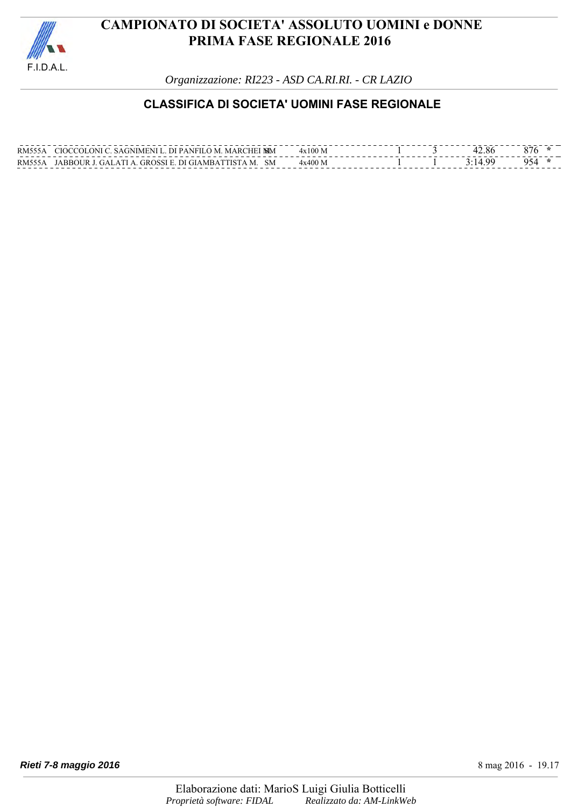

*Organizzazione: RI223 - ASD CA.RI.RI. - CR LAZIO*

### **CLASSIFICA DI SOCIETA' UOMINI FASE REGIONALE**

| <b>RM555A</b> | CIOCCOLONI C. SAGNIMENI L. DI PANFILO M. MARCHEI MM  | $4x100$ M |  | 42.86 |  |
|---------------|------------------------------------------------------|-----------|--|-------|--|
| <b>RM555A</b> | JABBOUR J. GALATI A. GROSSI E. DI GIAMBATTISTA M. SM | $4x400$ M |  |       |  |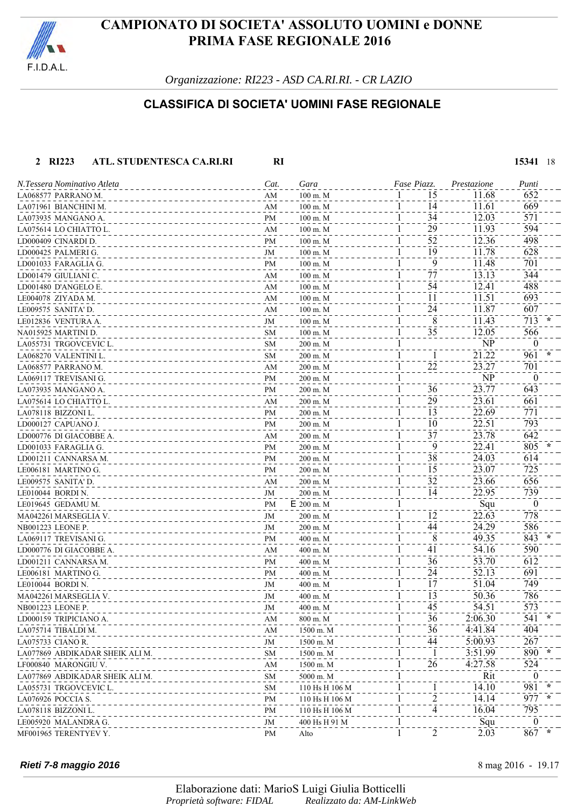

*Organizzazione: RI223 - ASD CA.RI.RI. - CR LAZIO*

### **CLASSIFICA DI SOCIETA' UOMINI FASE REGIONALE**

#### **2 RI223 ATL. STUDENTESCA CA.RI.RI RI 15341** 18 LA068577 PARRANO M.<br>1-2008577 PARRANO M.<br>1.0071961 BIANCHINI M. (669) LA071961 BIANCHINI M. AM 100 m. M 141 11.61 669 LA073935 MANGANO A.<br>
LA073935 MANGANO A.<br>
LA075614 LOCHIATTO L. (2009) M. M. (2009) M. M. (300 m. M. (3009) M. (3009) M. (3009) M. (3009) M. (3009) M.  $\frac{1}{29}$ <br>  $\frac{1}{29}$ <br>  $\frac{1}{29}$ <br>  $\frac{1}{29}$ <br>  $\frac{1}{29}$ <br>  $\frac{1}{29}$ <br>  $\frac{1}{29}$ <br>  $\frac{1}{29}$ <br>  $\frac{1}{29}$ <br>  $\frac{1}{29}$ <br>  $\frac{1}{29}$ <br>  $\frac{1}{29}$ <br>  $\frac{1}{29}$ <br>  $\frac{1}{29}$ <br>  $\frac{1}{29}$ <br>  $\frac{1}{29}$ <br>  $\frac{1}{29}$ <br>  $\frac{1}{29}$ <br>  $\frac{1$ LD000409 CINARDI D.<br>
LD000425 PALMERI G. (1998) 2000425 PALMERI G. (1998) 300 m. M 52<br>
LD000425 PALMERI G. (1998) 300 m. M 400 m. M 400 m. M 400 m. M 400 m. M 400 m. M 400 m. M 400 m. M 400 m. M 400 m. M 400 m. M 400 m. M LD000425 PALMERI G. JM 100 m. M 191 11.78 628 LD001033 FARAGLIA G. PM 100 m. M 9 100 m. M 9 11.48 701 LD001479 GIULIANI C. 344 LD001480 D'ANGELO E. AM 100 m. M 1 54 12.41 488  $L_{E004078}$  ZIYADA M.  $AM$  100 m. M  $1$  11.51 693 LE009575 SANITA' D. (2007) AM 100 m. M 24 11.87 607 LE012836 VENTURA A. **100 m. M** 100 m. M 1 8 **11.43** 713 NA015925 MARTINI D. SM 100 m. M 35 12.05 566 LA055731 TRGOVCEVIC L. SM 200 m. M 1 NP 0 LA068270 VALENTINI L.<br>
SM 200 m. M 1 1 21.22 961 LA068577 PARRANO M. AM 200 m. M 221 23.27 701 LA069117 TREVISANI G.<br>
LA073935 MANGANO A. PM 200 m. M 200 m. M 1 36 23.77 643  $\frac{1}{200 \text{ m.M}}$ <br>  $\frac{1}{200 \text{ m.M}}$ <br>  $\frac{1}{200 \text{ m.M}}$ <br>  $\frac{1}{200 \text{ m.M}}$ <br>  $\frac{1}{200 \text{ m.M}}$ <br>  $\frac{1}{200 \text{ m.M}}$ <br>  $\frac{1}{200 \text{ m.M}}$ <br>  $\frac{1}{200 \text{ m.M}}$ <br>  $\frac{1}{200 \text{ m.M}}$ <br>  $\frac{1}{200 \text{ m.M}}$ <br>  $\frac{1}{200 \text{ m.M}}$ <br>  $\frac{23.77}{23.61}$ <br>  $\frac{$ LA075614 LO CHIATTO L.<br>
LA078118 BIZZONI L.<br>
LA078118 BIZZONI L. (200 m. M) =  $\frac{200 \text{ m} \cdot \text{M}}{200 \text{ m} \cdot \text{M}}$  =  $\frac{1}{1}$  =  $\frac{29}{13}$  =  $\frac{23.61}{22.69}$  =  $\frac{661}{771}$ LA078118 BIZZONI L.<br>
LD000127 CAPUANO J.  $\frac{22.69}{PM}$   $\frac{200 \text{ m. M}}{200 \text{ m. M}}$   $\frac{1}{1}$   $\frac{13}{10}$   $\frac{22.69}{22.51}$ LD000127 CAPUANO J.<br>
LD000127 CAPUANO J. PM 200 m. M 200 m. M 200 m. M 200 m. M 37 22.51 23.78 642 LD000776 DI GIACOBBE A.<br>
1. COMPOSTOR DI GIACOBBE A.<br>
200 m. M 37<br>
200 m. M 300 m. M 37<br>
200 m. M 305 LD001033 FARAGLIA G. 200 m. M 200 m. M 200 m. M <sup>200</sup> m. M <sup>200</sup> m. M <sup>200</sup> 22.41 <sup>200</sup> LD001211 CANNARSA M.<br>
LE006181 MARTINO G. 614<br>
LE006181 MARTINO G. 200 m. M 300 m. M 31 33.07 725 LE006181 MARTINO G.<br>LE009575 SANITA'D. 23.07 725<br>LE009575 SANITA'D. AM 200 m. M 1 32 23.66 656 LE009575 SANITA' D. (23.66 656) 656 LE010044 BORDI N. 22.95 739 LE019645 GEDAMU M. PM E 200 m. M 1 Squ 0 MA042261 MARSEGLIA V. JM 200 m. M 1 12 22.63 778 NB001223 LEONE P. 686 STATE STATE STATE STATE STATE STATE STATE STATE STATE STATE STATE STATE STATE STATE STATE STATE STATE STATE STATE STATE STATE STATE STATE STATE STATE STATE STATE STATE STATE STATE STATE STATE STATE ST LA069117 TREVISANI G. 200 pm and a 400 m. M and a 400 m. M and a 49.35 843 LD000776 DI GIACOBBE A. AM 400 m. M 41 54.16 590 LD001211 CANNARSA M.<br>
LE006181 MARTINO G. PM 400 m. M 400 m. M 36 12 53.70 612 LE006181 MARTINO G.<br>LE010044 BORDIN. (2010). LE010044 BORDIN.<br>
MAO42261 MARSEGLIA V. (200 m) M<br>
MAO42261 MARSEGLIA V. (200 m) M<br>
MAO42261 MARSEGLIA V. (200 m) M<br>
MAO42261 MARSEGLIA V. (200 m) M MA042261 MARSEGLIA V.<br>
NB001223 LEONE P. 786<br>
NB001223 LEONE P. 573 NB001223 LEONE P. 573 LD000159 TRIPICIANO A. **AM** 800 m. M 36 30 3541 LA075714 TIBALDI M. AM 1500 m. M 36 4:41.84 404  $\frac{1}{1500 \text{ m.M}}$   $\frac{1500 \text{ m.M}}{1500 \text{ m.M}}$   $\frac{1}{1500 \text{ m}.$   $\frac{1}{1500 \text{ m}}$   $\frac{1}{1500 \text{ m}}$   $\frac{1}{1500 \text{ m}}$   $\frac{1}{1500 \text{ m}}$   $\frac{1}{1500 \text{ m}}$   $\frac{1}{1500 \text{ m}}$   $\frac{1}{1500 \text{ m}}$   $\frac{1}{1500 \text{ m}}$   $\frac{1}{1500 \text{ m}}$   $\frac{1}{$ LA077869 ABDIKADAR SHEIK ALI M. SM 1500 m. M 11 3:51.99 890 **\*** LF000840 MARONGIU V. AM 1500 m. M 26 4:27.58 524 LA077869 ABDIKADAR SHEIK ALI M. SM 5000 m. M 1 Rit 0 LA055731 TRGOVCEVIC L.<br>
LA076926 POCCIA S.<br>
PM 110 Hs H 106 M 106 M 1 2 14.14 977 LA076926 POCCIA S.<br>LA076926 POCCIA S.<br><u>PM 210 Hs H 106 M 21 14.14</u> 22 22 23 24.14 14.14 97 LA078118 BIZZONI L. 20078118 BIZZONI L. 20078118 BIZZONI L. 20078118 BIZZONI L. 20078118 BIZZONI L.  $\underbrace{\text{LE005920}}_{\text{M} \text{E001965}} \underbrace{\text{MALANDRA G.}}_{\text{ALE}} - \underbrace{\text{L203}}_{\text{M} \text{A10}} - \underbrace{\text{L309}}_{\text{M} \text{A10}} + \underbrace{\text{L400}}_{\text{A10}} + \underbrace{\text{L415}}_{\text{M} \text{A10}} - \underbrace{\text{L42}}_{\text{M} \text{A10}} - \underbrace{\text{L43}}_{\text{M} \text{A10}} - \underbrace{\text{L44}}_{\text{M} \text{A10}} - \underbrace$ MF001965 TERENTYEV Y. PM Alto 21 2.03 867 **\*** *N.Tessera Nominativo Atleta Cat. Gara Piazz.Fase Prestazione Punti*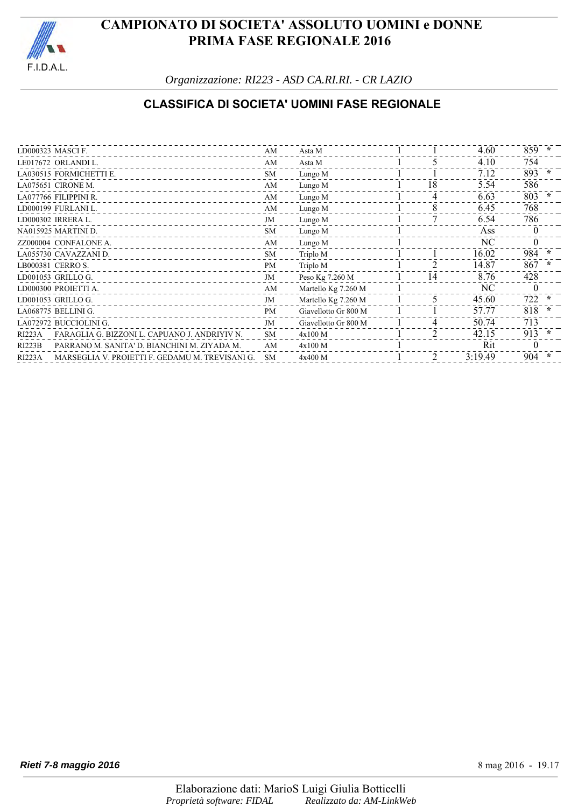

*Organizzazione: RI223 - ASD CA.RI.RI. - CR LAZIO*

### **CLASSIFICA DI SOCIETA' UOMINI FASE REGIONALE**

|               | LD000323 MASCIF.                                | AM        | Asta M               |                | 4.60    | $859 *$  |        |
|---------------|-------------------------------------------------|-----------|----------------------|----------------|---------|----------|--------|
|               | LE017672 ORLANDI L.                             | AM        | Asta M               |                | 4.10    | 754      |        |
|               | LA030515 FORMICHETTI E.                         | <b>SM</b> | Lungo M              |                | 7.12    | 893      | $\ast$ |
|               | LA075651 CIRONE M.                              | AM        | Lungo M              | 18             | 5.54    | 586      |        |
|               | LA077766 FILIPPINI R.                           | AM        | Lungo M              | 4              | 6.63    | 803      | $\ast$ |
|               | LD000199 FURLANI L.                             | AM        | Lungo M              | 8              | 6.45    | 768      |        |
|               | LD000302 IRRERA L.                              | JM        | Lungo M              |                | 6.54    | 786      |        |
|               | NA015925 MARTINI D.                             | <b>SM</b> | Lungo M              |                | Ass     | $\Omega$ |        |
|               | ZZ000004 CONFALONE A.                           | AM        | Lungo M              |                | NC      | 0        |        |
|               | LA055730 CAVAZZANI D.                           | <b>SM</b> | Triplo M             |                | 16.02   | 984 *    |        |
|               | LB000381 CERRO S.                               | <b>PM</b> | Triplo M             | $\mathfrak{D}$ | 14.87   | 867      | $\ast$ |
|               | LD001053 GRILLO G.                              | JM        | Peso Kg 7.260 M      | 14             | 8.76    | 428      |        |
|               | LD000300 PROIETTI A.                            | AM        | Martello Kg 7.260 M  |                | NC.     |          |        |
|               | LD001053 GRILLO G.                              | JM        | Martello Kg 7.260 M  | 5              | 45.60   | 722      | $\ast$ |
|               | LA068775 BELLINI G.                             | <b>PM</b> | Giavellotto Gr 800 M |                | 57.77   | 818      | $\ast$ |
|               | LA072972 BUCCIOLINI G.                          | JM        | Giavellotto Gr 800 M |                | 50.74   | 713      |        |
| <b>RI223A</b> | FARAGLIA G. BIZZONI L. CAPUANO J. ANDRIYIV N.   | <b>SM</b> | 4x100 M              | $\mathfrak{D}$ | 42.15   | $913 *$  |        |
| <b>RI223B</b> | PARRANO M. SANITA' D. BIANCHINI M. ZIYADA M.    | AM        | 4x100 M              |                | Rit     | $\theta$ |        |
| <b>RI223A</b> | MARSEGLIA V. PROJETTI F. GEDAMU M. TREVISANI G. | <b>SM</b> | 4x400 M              | $\mathfrak{D}$ | 3:19.49 | 904      | *      |
|               |                                                 |           |                      |                |         |          |        |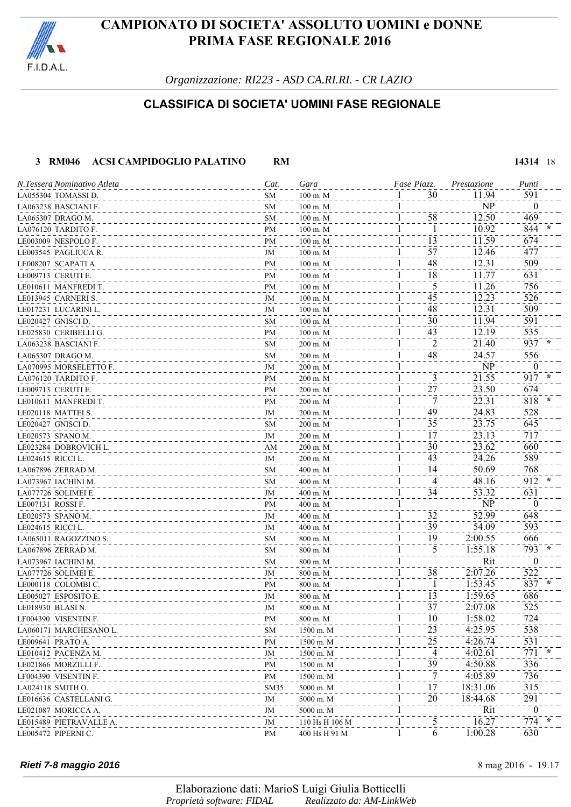

*Organizzazione: RI223 - ASD CA.RI.RI. - CR LAZIO*

### **CLASSIFICA DI SOCIETA' UOMINI FASE REGIONALE**

#### **3 RM046 ACSI CAMPIDOGLIO PALATINO RM 14314** 18

| N.Tessera Nominativo Atleta | Cat.             | Gara                | Fase Piazz. | Prestazione | Punti          |
|-----------------------------|------------------|---------------------|-------------|-------------|----------------|
| LA055304 TOMASSI D.         | <b>SM</b>        | 100 m. M            | 30          | 11.94       | 591            |
| LA063238 BASCIANI F.        | SM               | $100 \text{ m}$ . M |             | NP          | $\theta$       |
| LA065307 DRAGO M.           | SM               | $100 \text{ m}$ . M | 58          | 12.50       | 469            |
| LA076120 TARDITO F.         | PM               | $100 \text{ m}$ . M |             | 10.92       | 844            |
| LE003009 NESPOLO F.         | PM               | $100 \text{ m}$ . M | 13          | 11.59       | 674            |
| LE003545  PAGLIUCA R.       | JM               | $100 \text{ m}$ . M | 57          | 12.46       | 477            |
| LE008207 SCAPATI A.         | PM               | $100 \text{ m}$ . M | 48          | 12.31       | 509            |
| LE009713 CERUTI E.          | PM               | $100 \text{ m}$ . M | 18          | 11.77       | 631            |
| LE010611 MANFREDI T.        | PM               | $100 \text{ m}$ . M | 5           | 11.26       | 756            |
| LE013945 CARNERI S.         | JM               | $100 \text{ m}$ . M | 45          | 12.23       | 526            |
| LE017231 LUCARINI L.        | JM               | $100 \text{ m}$ . M | 48          | 12.31       | 509            |
| LE020427 GNISCI D.          | SM               | $100 \text{ m}$ . M | 30          | 11.94       | 591            |
| LE025830 CERIBELLI G.       | PM               | $100 \text{ m}$ . M | 43          | 12.19       | 535            |
| LA063238 BASCIANI F.        | <b>SM</b>        | 200 m. M            | 2           | 21.40       | 937            |
| LA065307 DRAGO M.           | <b>SM</b>        | 200 m. M            | 48          | 24.57       | 556            |
| LA070995 MORSELETTO F.      | JM               | 200 m. M            |             | NP          | $\theta$       |
| LA076120 TARDITO F.         | PM               | 200 m. M            | 3           | 21.55       | 917            |
| LE009713  CERUTI E.         | PM               | 200 m. M            | 27          | 23.50       | 674            |
| LE010611 MANFREDIT.         | PM               | 200 m. M            | 7           | 22.31       | 818            |
| LE020118 MATTEI S.          | JM               | 200 m. M            | 49          | 24.83       | 528            |
| LE020427 GNISCI D.          | <b>SM</b>        | 200 m. M            | 35          | 23.75       | 645            |
| LE020573 SPANO M.           | JM               | 200 m. M            | 17          | 23.13       | 717            |
| LE023284  DOBROVICH L.      | AM               | 200 m. M            | 30          | 23.62       | 660            |
| LE024615 RICCI L.           | JM               | 200 m. M            | 43          | 24.26       | 589            |
| LA067896 ZERRAD M.          | <b>SM</b>        | 400 m. M            | 14          | 50.69       | 768            |
| LA073967  IACHINI M.        | <b>SM</b>        | 400 m. M            | 4           | 48.16       | 912            |
| LA077726 SOLIMEI E.         | JM               | 400 m. M            | 34          | 53.32       | 631            |
| LE007131   ROSSI F.         | PM               | 400 m. M            |             | NP          | $\Omega$       |
| LE020573 SPANO M.           | JM               | 400 m. M            | 32          | 52.99       | 648            |
| LE024615 RICCI L.           | JM               | 400 m. M            | 39          | 54.09       | 593            |
| LA065011 RAGOZZINO S.       | <b>SM</b>        | 800 m. M            | 19          | 2:00.55     | 666            |
| LA067896 ZERRAD M.          | <b>SM</b>        | 800 m. M            | 5           | 1:55.18     | 793            |
| LA073967  IACHINI M.        | <b>SM</b>        | 800 m. M            |             | Rit         | $\theta$       |
| LA077726 SOLIMEI E.         | JM               | 800 m. M            | 38          | 2:07.26     | 522            |
| LE000118 COLOMBIC.          | PM               | 800 m. M            |             | 1:53.45     | 837            |
| LE005027 ESPOSITO E.        | JM               | 800 m. M            | 13          | 1:59.65     | 686            |
| LE018930 BLASI N.           | JM               | $800$ m. $\hbox{M}$ | 37          | 2:07.08     | 525            |
| LF004390 VISENTIN F.        | PM               | 800 m. M            | 10          | 1:58.02     | 724            |
| LA060171 MARCHESANO L.      | <b>SM</b>        | 1500 m. M           | 23          | 4:25.95     | 538            |
| LE009641 PRATO A.           | PM               | 1500 m. M           | 25          | 4:26.74     | 531            |
| LE010412 PACENZA M.         | JM               | 1500 m. M           | 4           | 4:02.61     | 771            |
| LE021866 MORZILLI F.        | PM               | 1500 m. M           | 39          | 4:50.88     | 336            |
| LF004390 VISENTIN F.        | PM               | 1500 m. M           | 7           | 4:05.89     | 736            |
| LA024118 SMITH O.           | SM <sub>35</sub> | 5000 m. M           | 17          | 18:31.06    | 315            |
| LE016636 CASTELLANI G.      | JM               | 5000 m. M           | 20          | 18:44.68    | 291            |
| LE021087 MORICCA A.         | JM               | 5000 m. M           |             | Rit         | $\overline{0}$ |
| LE015489 PIETRAVALLE A.     | JM               | 110 Hs H 106 M      | 5           | 16.27       | $774 *$        |
| LE005472 PIPERNIC.          | PM               | 400 Hs H 91 M       | 6<br>1      | 1:00.28     | 630            |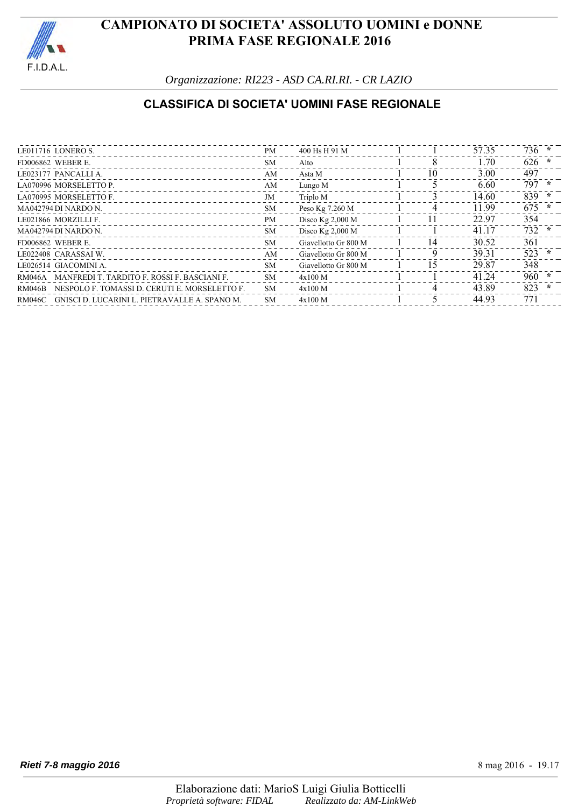

*Organizzazione: RI223 - ASD CA.RI.RI. - CR LAZIO*

### **CLASSIFICA DI SOCIETA' UOMINI FASE REGIONALE**

| LE011716 LONERO S.                                             | <b>PM</b> | 400 Hs H 91 M        |    | 57.35 | $736 *$        |
|----------------------------------------------------------------|-----------|----------------------|----|-------|----------------|
| <b>FD006862 WEBER E.</b>                                       | SM.       | Alto                 | 8  | 1.70  | $626 *$        |
| LE023177 PANCALLIA.                                            | AM        | Asta M               | 10 | 3.00  | 497            |
| LA070996 MORSELETTO P.                                         | AM        | Lungo M              |    | 6.60  | 797<br>$\star$ |
| LA070995 MORSELETTO F.                                         | JM        | Triplo M             |    | 14.60 | 839<br>*       |
| MA042794 DI NARDO N.                                           | <b>SM</b> | Peso Kg 7.260 M      | 4  | 11.99 | $675 *$        |
| LE021866 MORZILLI F.                                           | <b>PM</b> | Disco $Kg$ 2,000 M   |    | 22.97 | 354            |
| MA042794 DI NARDO N.                                           | SM.       | Disco $Kg$ 2,000 M   |    | 41.17 | 732<br>$\ast$  |
| <b>FD006862 WEBER E.</b>                                       | SM.       | Giavellotto Gr 800 M | 14 | 30.52 | 361            |
| LE022408 CARASSAIW.                                            | AM        | Giavellotto Gr 800 M | 9  | 39.31 | 523<br>$\ast$  |
| LE026514 GIACOMINI A.                                          | <b>SM</b> | Giavellotto Gr 800 M | -5 | 29.87 | 348            |
| MANFREDI T. TARDITO F. ROSSI F. BASCIANI F.<br>RM046A          | SM.       | $4x100$ M            |    | 41.24 | $960 *$        |
| NESPOLO F. TOMASSI D. CERUTI E. MORSELETTO F.<br><b>RM046B</b> | <b>SM</b> | $4x100$ M            |    | 43.89 | 823<br>$\ast$  |
| GNISCI D. LUCARINI L. PIETRAVALLE A. SPANO M.<br>RM046C        | <b>SM</b> | $4x100$ M            |    | 44.93 | 771            |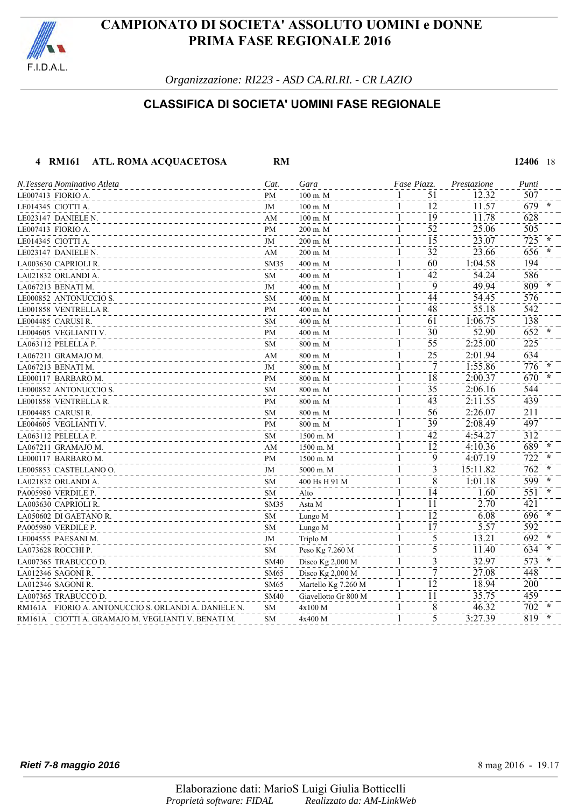

*Organizzazione: RI223 - ASD CA.RI.RI. - CR LAZIO*

### **CLASSIFICA DI SOCIETA' UOMINI FASE REGIONALE**

 **4 RM161 ATL. ROMA ACQUACETOSA RM 12406** 18

| N.Tessera Nominativo Atleta                          | Cat.                   | Gara                 | Fase Piazz.                     | Prestazione | Punti |
|------------------------------------------------------|------------------------|----------------------|---------------------------------|-------------|-------|
| LE007413 FIORIO A.                                   | PM                     | 100 m. M             | 51                              | 12.32       | 507   |
| LE014345 CIOTTI A.                                   | JM                     | $100$ m. M           | 12                              | 11.57       | 679   |
| LE023147 DANIELE N.                                  | AM                     | $100 \text{ m}$ . M  | 19<br>1                         | 11.78       | 628   |
| LE007413 FIORIO A.                                   | PM                     | $200$ m. M           | 52<br>$\mathbf{I}$              | 25.06       | 505   |
| LE014345 CIOTTI A.                                   | JM                     | 200 m. M             | $\overline{15}$                 | 23.07       | 725   |
| LE023147 DANIELE N.                                  | AM                     | 200 m. M             | 32                              | 23.66       | 656   |
| LA003630 CAPRIOLI R.                                 | SM <sub>35</sub>       | 400 m. M             | 60                              | 1:04.58     | 194   |
| LA021832 ORLANDI A.                                  | SM                     | 400 m. M             | 42<br>1                         | 54.24       | 586   |
| LA067213 BENATI M.                                   | JM                     | 400 m. M             | 9                               | 49.94       | 809   |
| LE000852 ANTONUCCIO S.                               | <b>SM</b>              | 400 m. M             | 44                              | 54.45       | 576   |
| LE001858 VENTRELLAR.                                 | PM                     | 400 m. M             | 48                              | 55.18       | 542   |
| LE004485  CARUSI R.                                  | <b>SM</b>              | 400 m. M             | 61<br>1                         | 1:06.75     | 138   |
| LE004605 VEGLIANTI V.                                | PM                     | 400 m. M             | 30<br>1                         | 52.90       | 652   |
| LA063112 PELELLA P.                                  | <b>SM</b>              | 800 m. M             | $\overline{55}$                 | 2:25.00     | 225   |
| LA067211 GRAMAJO M.                                  | AM                     | 800 m. M             | 25                              | 2:01.94     | 634   |
| LA067213 BENATI M.                                   | JM                     | 800 m. M             | 7                               | 1:55.86     | 776   |
| LE000117 BARBARO M.                                  | PM                     | 800 m. M             | 18                              | 2:00.37     | 670   |
| LE000852 ANTONUCCIO S.                               | <b>SM</b>              | 800 m. M             | 35                              | 2:06.16     | 544   |
| LE001858 VENTRELLA R.                                | PM                     | 800 m. M             | 43                              | 2:11.55     | 439   |
| LE004485 CARUSIR.                                    | <b>SM</b>              | 800 m. M             | 56                              | 2:26.07     | 211   |
| LE004605 VEGLIANTI V.                                | PM                     | 800 m. M             | 39                              | 2:08.49     | 497   |
| LA063112 PELELLA P.                                  | <b>SM</b>              | 1500 m. M            | 42                              | 4:54.27     | 312   |
| LA067211 GRAMAJO M.                                  | $\mathbf{A}\mathbf{M}$ | 1500 m. M            | 12                              | 4:10.36     | 689   |
| LE000117 BARBARO M.                                  | PM                     | 1500 m. M            | 9                               | 4:07.19     | 722   |
| LE005853 CASTELLANO O.                               | JM                     | 5000 m. M            | 3                               | 15:11.82    | 762   |
| LA021832 ORLANDI A.                                  | SM                     | 400 Hs H 91 M        | 8<br>1                          | 1:01.18     | 599   |
| PA005980 VERDILE P.                                  | SM                     | Alto                 | 14                              | 1.60        | 551   |
| LA003630 CAPRIOLI R.                                 | SM35                   | Asta M               | 11                              | 2.70        | 421   |
| LA050602 DI GAETANO R.                               | <b>SM</b>              | Lungo M              | 12                              | 6.08        | 696   |
| PA005980 VERDILE P.                                  | <b>SM</b>              | Lungo M              | $\overline{1}\overline{7}$<br>1 | 5.57        | 592   |
| LE004555 PAESANI M.                                  | JM                     | Triplo M             | 5                               | 13.21       | 692   |
| LA073628 ROCCHI P.                                   | <b>SM</b>              | Peso Kg 7.260 M      | 5                               | 11.40       | 634   |
| LA007365 TRABUCCO D.                                 | <b>SM40</b>            | Disco Kg 2,000 M     | 3                               | 32.97       | 573   |
| LA012346 SAGONIR.                                    | <b>SM65</b>            | Disco $Kg$ 2,000 M   |                                 | 27.08       | 448   |
| LA012346 SAGONIR.                                    | <b>SM65</b>            | Martello Kg 7.260 M  | 12                              | 18.94       | 200   |
| LA007365 TRABUCCO D.                                 | <b>SM40</b>            | Giavellotto Gr 800 M | 11                              | 35.75       | 459   |
| RM161A FIORIO A. ANTONUCCIO S. ORLANDI A. DANIELE N. | SM                     | 4x100 M              | 8                               | 46.32       | 702   |
| RM161A – CIOTTI A. GRAMAJO M. VEGLIANTI V. BENATI M. | <b>SM</b>              | 4x400 M              | 5                               | 3:27.39     | 819   |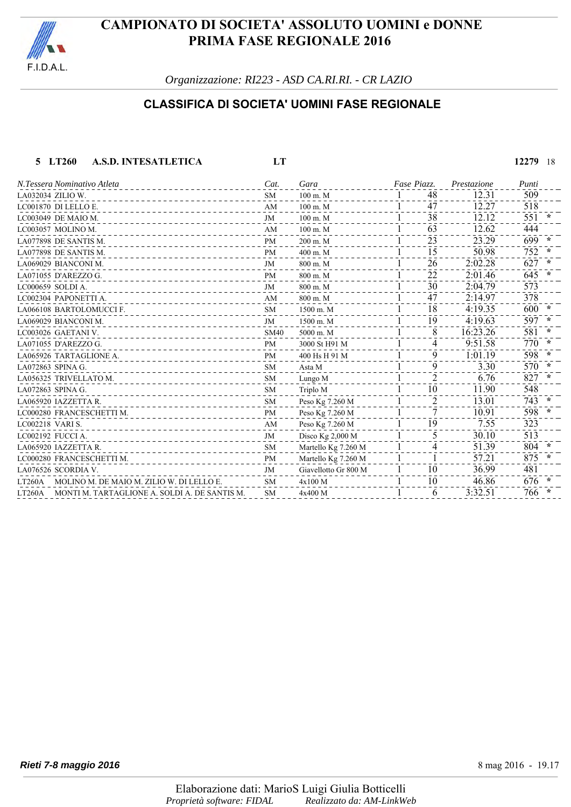

*Organizzazione: RI223 - ASD CA.RI.RI. - CR LAZIO*

### **CLASSIFICA DI SOCIETA' UOMINI FASE REGIONALE**

#### **5 LT260 A.S.D. INTESATLETICA LT 12279** 18  $\frac{1}{100 \text{ m} \cdot \text{M}}$   $\frac{1}{47}$   $\frac{1}{2.31}$   $\frac{509}{12.31}$   $\frac{509}{12.31}$   $\frac{1}{47}$   $\frac{48}{12.31}$   $\frac{1}{2.31}$   $\frac{509}{12.31}$   $\frac{509}{12.31}$   $\frac{1}{47}$   $\frac{48}{12.31}$   $\frac{1}{47}$   $\frac{1}{2.31}$   $\frac{509}{12.31}$   $\frac{1$ LC001870 DI LELLO E.<br>
LC003049 DE MAIO M.<br>
LC003049 DE MAIO M.<br>  $\frac{1}{38}$  12.12 551 LC003049 DE MAIO M.<br>
LC003049 DE MAIO M.<br>
LC003057 MOLINO M.<br>
AM
100 m. M<br>
4M
100 m. M<br>
4M
100 m. M LC003057 MOLINO M.<br>
LA077898 DE SANTIS M.<br>
LA077898 DE SANTIS M.<br>  $\frac{1}{PM}$   $\frac{100 \text{ m.M}}{200 \text{ m.M}}$   $\frac{1}{1}$   $\frac{63}{23}$   $\frac{12.62}{23.29}$   $\frac{444}{699}$ LA077898 DE SANTIS M.<br>LA077898 DE SANTIS M.<br>LA077898 DE SANTIS M. PM 400 m. M 400 m. M 1 15 50.98 752 LA077898 DE SANTIS M. **PM** 400 m. M 1 15 50.98 752  $\frac{1}{1000 \text{ m.M}}$   $\frac{800 \text{ m.M}}{1000 \text{ m.M}}$   $\frac{1}{26}$   $\frac{2:02.28}{2:02.28}$   $\frac{627}{627}$ LA071055 D'AREZZO G. **PM** 800 m. M 22 2:01.46 645 **\***  $\frac{1}{1}$  CO00659 SOLDI A.  $\frac{573}{1}$ LC002304 PAPONETTI A.  $AM = 800 \text{ m} \cdot M = 1.47$   $47.2:14.97$  378 LA066108 BARTOLOMUCCI F. SM 1500 m. M 181 4:19.35 600 **\*** LA069029 BIANCONI M. JM 1500 m. M 191 4:19.63 597 **\*** LC003026 GAETANI V. SM40 5000 m. M 81 16:23.26 581 **\*** LA071055 D'AREZZO G. **PM** 3000 St H91 M 4 9:51.58 LA065926 TARTAGLIONE A. **PM** 400 Hs H 91 M 91 1:01.19 9 1:01.19 598 \* LA072863 SPINA G.<br>LA072863 SPINA G. 2007 - 2007 - 2008 SPINA G. 2008 - 2009 - 2009 - 2009 - 2009 - 2009 - 2009 - 2009 - 2009 - 2<br>LA056225 TBWELLATO M. 2008 - 2009 - 2009 - 2009 - 2009 - 2009 - 2009 - 2009 - 2009 - 2009 - 2 LA056325 TRIVELLATO M. SM Lungo M 21 6.76 827 **\*** LA072863 SPINA G. SM Triplo M 101 11.90 548 LA065920 IAZZETTA R.<br>
LOO00280 FRANCESCHETTI M.<br>
ECO00280 FRANCESCHETTI M.<br>
PM Peso Kg 7.260 M 21 22 200 M 21 22 200 280 FRANCESCHETTI M. LC000280 FRANCESCHETTI M.<br>
LC002218 VARI S. 2001 10.91 598 **Examples** 2.00 M Peso Kg 7.260 M Peso Kg 7.260 M 755 755 732 LC002218 VARI S. AM Peso Kg 7.260 M 1 19 7.55 323 LC002192 FUCCI A. **IM** Disco Kg 2,000 M 513 LA065920 IAZZETTA R. SM Martello Kg 7.260 M 4<sup>1</sup> 51.39 804 LC000280 FRANCESCHETTI M. **PM** Martello Kg 7.260 M 1 1 57.21 875 LA076526 SCORDIA V. JM Giavellotto Gr 800 M 1 1 0 36.99 481 LT260A MOLINO M. DE MAIO M. ZILIO W. DI LELLO E. SM  $4x100 M$  10  $46.86$  676 LT260A MONTI M. TARTAGLIONE A. SOLDI A. DE SANTIS M. SM  $4x400 M$  1 6 3:32.51 766 \* *N.Tessera Nominativo Atleta Cat. Gara Piazz.Fase Prestazione Punti*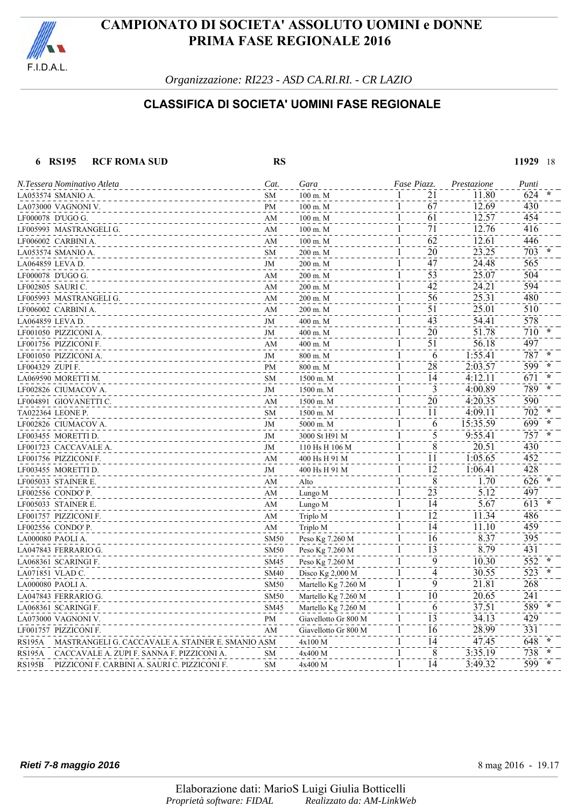

*Organizzazione: RI223 - ASD CA.RI.RI. - CR LAZIO*

### **CLASSIFICA DI SOCIETA' UOMINI FASE REGIONALE**

#### **6 RS195 RCF ROMA SUD RS 11929** 18

|                  | N.Tessera Nominativo Atleta                       | Cat.        | Gara                 | Fase Piazz.                     | Prestazione | Punti            |
|------------------|---------------------------------------------------|-------------|----------------------|---------------------------------|-------------|------------------|
|                  | LA053574 SMANIO A.                                | SM          | 100 m. M             | 21                              | 11.80       | 624              |
|                  | LA073000 VAGNONI V.                               | PM          | 100 m. M             | 67                              | 12.69       | 430              |
|                  | LF000078 D'UGO G.                                 | AM          | $100$ m. $M$         | 61<br>1                         | 12.57       | 454              |
|                  | LF005993 MASTRANGELI G.                           | AM          | 100 m. M             | 71<br>1                         | 12.76       | 416              |
|                  | LF006002 CARBINI A.                               | AM          | 100 m. M             | 62<br>1                         | 12.61       | 446              |
|                  | LA053574 SMANIO A.                                | SM          | 200 m. M             | 20<br>$\mathbf{1}$              | 23.25       | 703              |
| LA064859 LEVA D. |                                                   | JM          | 200 m. M             | $\bar{4}\bar{7}$<br>1           | 24.48       | 565              |
|                  | LF000078 D'UGO G.                                 | AM          | 200 m. M             | 53                              | 25.07       | 504              |
| LF002805 SAURIC. |                                                   | AM          | 200 m. M             | 42<br>1                         | 24.21       | 594              |
|                  | LF005993 MASTRANGELI G.                           | AM          | 200 m. M             | 56<br>1                         | 25.31       | 480              |
|                  | LF006002 CARBINI A.                               | AM          | 200 m. M             | 51<br>1                         | 25.01       | 510              |
| LA064859 LEVA D. |                                                   | $\rm JM$    | 400 m. M             | 43                              | 54.41       | 578              |
|                  | LF001050 PIZZICONI A.                             | JM          | 400 m. M             | 20<br>1                         | 51.78       | 710              |
|                  | LF001756 PIZZICONI F.                             | AM          | 400 m. M             | $\overline{51}$<br>1            | 56.18       | 497              |
|                  | LF001050 PIZZICONI A.                             | JM          | 800 m. M             | $\overline{6}$                  | 1:55.41     | 787              |
| LF004329 ZUPI F. |                                                   | PM          | 800 m. M             | 28                              | 2:03.57     | 599              |
|                  | LA069590 MORETTI M.                               | SM          | 1500 m. M            | 14                              | 4:12.11     | 671              |
|                  | LF002826 CIUMACOV A.                              | JM          | 1500 m. M            | 3                               | 4:00.89     | 789              |
|                  | LF004891 GIOVANETTI C.                            | AM          | 1500 m. M            | 20                              | 4:20.35     | 590              |
|                  | TA022364 LEONE P.                                 | SM          | 1500 m. M            | 11                              | 4:09.11     | 702              |
|                  | LF002826 CIUMACOV A.                              | JM          | 5000 m. M            | 1<br>6                          | 15:35.59    | 699              |
|                  | LF003455 MORETTI D.                               | JM          | 3000 St H91 M        | 5<br>$\mathbf{1}$               | 9:55.41     | 757              |
|                  | LF001723 CACCAVALE A.                             | JM          | 110 Hs H 106 M       | $\overline{8}$                  | 20.51       | 430              |
|                  | LF001756 PIZZICONI F.                             | AM          | 400 Hs H 91 M        | 11<br>1                         | 1:05.65     | 452              |
|                  | LF003455 MORETTI D.                               | JM          | 400 Hs H 91 M        | 12                              | 1:06.41     | 428              |
|                  | LF005033 STAINER E.                               | AM          | Alto                 | 8<br>1                          | 1.70        | 626              |
|                  | LF002556 CONDO' P.                                | AM          | Lungo M              | $\bar{2}\bar{3}$                | 5.12        | 497              |
|                  | LF005033 STAINER E.                               | AM          | Lungo M              | 14                              | 5.67        | 613              |
|                  | LF001757 PIZZICONI F.                             | AM          | Triplo M             | $\overline{1}\overline{2}$<br>1 | 11.34       | 486              |
|                  | LF002556 CONDO' P.                                | AM          | Triplo M             | $\overline{14}$<br>$\mathbf{1}$ | 11.10       | 459              |
|                  | LA000080 PAOLI A.                                 | <b>SM50</b> | Peso Kg 7.260 M      | 16<br>1                         | 8.37        | 395              |
|                  | LA047843 FERRARIO G.                              | <b>SM50</b> | Peso Kg 7.260 M      | 13                              | 8.79        | 431              |
|                  | LA068361 SCARINGI F.                              | <b>SM45</b> | Peso Kg 7.260 M      | 9                               | 10.30       | 552              |
| LA071851 VLAD C. |                                                   | <b>SM40</b> | Disco Kg 2,000 M     | $\overline{4}$                  | 30.55       | $\overline{523}$ |
|                  | LA000080 PAOLI A.                                 | <b>SM50</b> | Martello Kg 7.260 M  | 9                               | 21.81       | 268              |
|                  | LA047843 FERRARIO G.                              | <b>SM50</b> | Martello Kg 7.260 M  | 10                              | 20.65       | 241              |
|                  | LA068361 SCARINGI F.                              | <b>SM45</b> | Martello Kg 7.260 M  | 6                               | 37.51       | 589              |
|                  | LA073000 VAGNONI V.                               | PM          | Giavellotto Gr 800 M | $\overline{13}$<br>1            | 34.13       | 429              |
|                  | LF001757 PIZZICONI F.                             | AM          | Giavellotto Gr 800 M | 16                              | 28.99       | 331              |
| RS195A           | MASTRANGELI G. CACCAVALE A. STAINER E. SMANIO ASM |             | 4x100 M              | 14                              | 47.45       | 648              |
| <b>RS195A</b>    | CACCAVALE A. ZUPI F. SANNA F. PIZZICONI A.        | SM          | 4x400 M              | 8<br>$\mathbf l$                | 3:35.19     | 738              |
| <b>RS195B</b>    | PIZZICONI F. CARBINI A. SAURI C. PIZZICONI F.     | <b>SM</b>   | 4x400 M              | $\overline{14}$<br>1            | 3:49.32     | $599 -$          |
|                  |                                                   |             |                      |                                 |             |                  |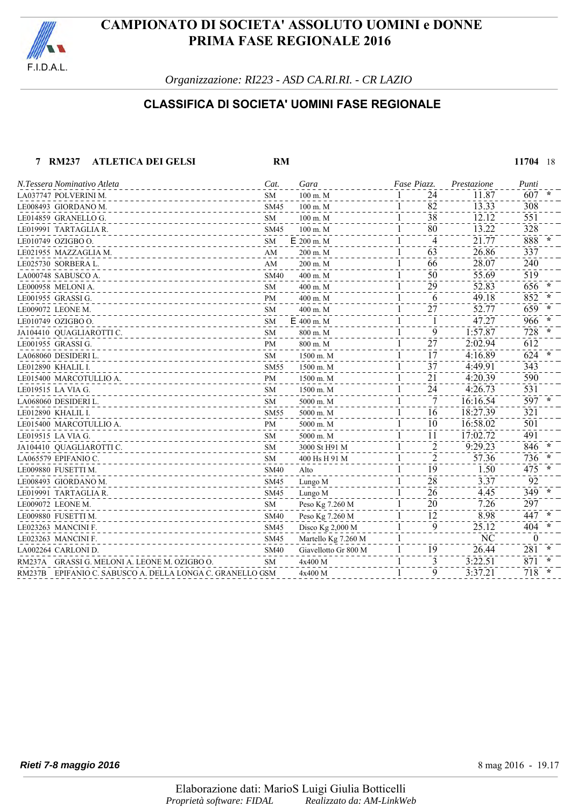

*Organizzazione: RI223 - ASD CA.RI.RI. - CR LAZIO*

### **CLASSIFICA DI SOCIETA' UOMINI FASE REGIONALE**

#### **7 RM237 ATLETICA DEI GELSI RM 11704** 18

| N.Tessera Nominativo Atleta                               | Cat.        | Gara                 | Fase Piazz.      | Prestazione | Punti         |
|-----------------------------------------------------------|-------------|----------------------|------------------|-------------|---------------|
| LA037747 POLVERINI M.                                     | SМ          | 100 m. M             | 24               | 11.87       | 607           |
| LE008493 GIORDANO M.                                      | <b>SM45</b> | 100 m. M             | 82               | 13.33       | 308           |
| LE014859 GRANELLO G.                                      | <b>SM</b>   | $100$ m. $M$         | 38               | 12.12       | 551           |
| LE019991 TARTAGLIA R.                                     | <b>SM45</b> | 100 m. M             | 80               | 13.22       | 328           |
| LE010749 OZIGBO O.                                        | SM          | E 200 m. M           | $\overline{4}$   | 21.77       | 888           |
| LE021955 MAZZAGLIA M.                                     | AM          | 200 m. M             | $\overline{63}$  | 26.86       | 337           |
| LE025730 SORBERA L.                                       | AM          | 200 m. M             | 66               | 28.07       | 240           |
| LA000748 SABUSCO A.                                       | <b>SM40</b> | 400 m. M             | 50               | 55.69       | 519           |
| LE000958 MELONI A.                                        | SM          | 400 m. M             | 29               | 52.83       | 656           |
| LE001955 GRASSI G.                                        | PM          | 400 m. M             | 6                | 49.18       | 852           |
| LE009072 LEONE M.                                         | <b>SM</b>   | 400 m. M             | 27               | 52.77       | 659           |
| LE010749 OZIGBO O.                                        | <b>SM</b>   | E 400 m. M           | 1                | 47.27       | 966           |
| JA104410 QUAGLIAROTTI C.                                  | <b>SM</b>   | 800 m. M             | 9                | 1:57.87     | 728           |
| LE001955 GRASSI G.                                        | PM          | 800 m. M             | $\bar{2}\bar{7}$ | 2:02.94     | 612           |
| LA068060 DESIDERI L.                                      | SM          | 1500 m. M            | 17               | 4:16.89     | 624<br>$\ast$ |
| LE012890 KHALIL I.                                        | SM55        | 1500 m. M            | 37               | 4:49.91     | 343           |
| LE015400 MARCOTULLIO A.                                   | PM          | 1500 m. M            | 21               | 4:20.39     | 590           |
| LE019515 LA VIA G.                                        | <b>SM</b>   | 1500 m. M            | 24               | 4:26.73     | 531           |
| LA068060 DESIDERI L.                                      | <b>SM</b>   | 5000 m. M            |                  | 16:16.54    | $597 *$       |
| LE012890 KHALIL I.                                        | SM55        | 5000 m. M            | 16               | 18:27.39    | 321           |
| LE015400 MARCOTULLIO A.                                   | <b>PM</b>   | 5000 m. M            | 10               | 16:58.02    | 501           |
| LE019515 LA VIA G.                                        | <b>SM</b>   | 5000 m. M            | 11               | 17:02.72    | 491           |
| JA104410 QUAGLIAROTTI C.                                  | <b>SM</b>   | 3000 St H91 M        | $\overline{2}$   | 9:29.23     | 846           |
| LA065579 EPIFANIO C.                                      | <b>SM</b>   | 400 Hs H 91 M        | $\overline{c}$   | 57.36       | 736           |
| LE009880 FUSETTI M.                                       | SM40        | Alto                 | 19               | 1.50        | 475           |
| LE008493 GIORDANO M.                                      | <b>SM45</b> | Lungo M              | 28               | 3.37        | 92            |
| LE019991 TARTAGLIA R.                                     | <b>SM45</b> | Lungo M              | 26               | 4.45        | 349           |
| LE009072 LEONE M.                                         | ${\rm SM}$  | Peso Kg 7.260 M      | 20               | 7.26        | 297           |
| LE009880 FUSETTI M.                                       | <b>SM40</b> | Peso Kg 7.260 M      | 12               | 8.98        | 447           |
| LE023263 MANCINI F.                                       | <b>SM45</b> | Disco $Kg$ 2,000 M   | 9                | 25.12       | 404           |
| LE023263 MANCINI F.                                       | <b>SM45</b> | Martello Kg 7.260 M  | 1                | NC          | $\theta$      |
| LA002264 CARLONI D.                                       | <b>SM40</b> | Giavellotto Gr 800 M | 19               | 26.44       | 281           |
| RM237A GRASSI G. MELONI A. LEONE M. OZIGBO O.             | SM          | 4x400 M              | 3                | 3:22.51     | 871           |
| RM237B EPIFANIO C. SABUSCO A. DELLA LONGA C. GRANELLO GSM |             | 4x400 M              | 9                | 3:37.21     | 718           |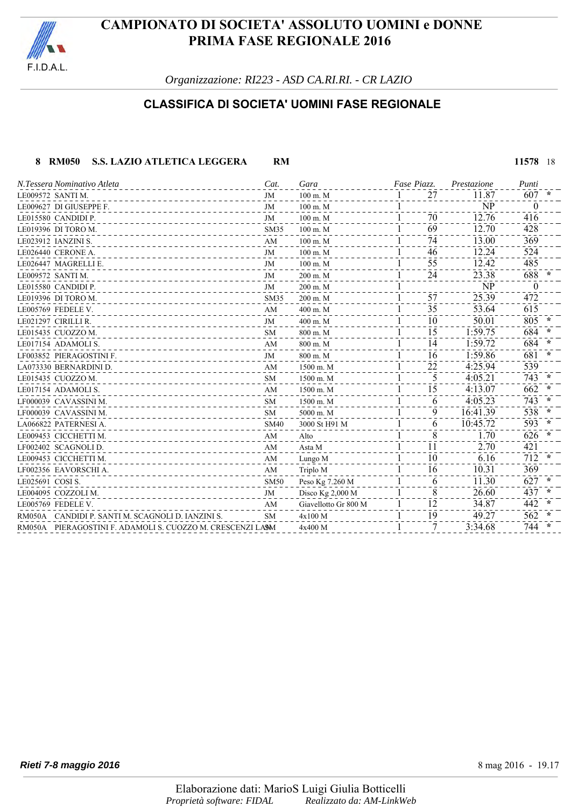

*Organizzazione: RI223 - ASD CA.RI.RI. - CR LAZIO*

### **CLASSIFICA DI SOCIETA' UOMINI FASE REGIONALE**

#### **8 RM050 S.S. LAZIO ATLETICA LEGGERA RM 11578** 18

| N.Tessera Nominativo Atleta                                | Cat.        | Gara                 | Fase Piazz. | Prestazione | Punti         |
|------------------------------------------------------------|-------------|----------------------|-------------|-------------|---------------|
| LE009572 SANTI M.                                          | JM          | $100$ m. M           | 27          | 11.87       | $607 *$       |
| LE009627 DI GIUSEPPE F.                                    | JM          | 100 m. M             |             | NP          | $\bf{0}$      |
| LE015580 CANDIDI P.                                        | JM          | $100$ m. M           | 70          | 12.76       | 416           |
| LE019396 DI TORO M.                                        | <b>SM35</b> | $100$ m. M           | 69          | 12.70       | 428           |
| LE023912 IANZINI S.                                        | AM          | $100 \text{ m}$ . M  | 74          | 13.00       | 369           |
| LE026440 CERONE A.                                         | JM          | $100$ m. M           | 46          | 12.24       | 524           |
| LE026447 MAGRELLI E.                                       | JM          | $100$ m. M           | 55          | 12.42       | 485           |
| LE009572 SANTI M.                                          | JM          | 200 m. M             | 24          | 23.38       | 688           |
| LE015580 CANDIDI P.                                        | JM          | 200 m. M             |             | NP          | $\theta$      |
| LE019396 DI TORO M.                                        | SM35        | $200$ m. M           | 57          | 25.39       | 472           |
| LE005769 FEDELE V.                                         | AM          | 400 m. M             | 35          | 53.64       | 615           |
| LE021297 CIRILLI R.                                        | JM          | 400 m. M             | 10          | 50.01       | 805           |
| LE015435 CUOZZOM.                                          | <b>SM</b>   | 800 m. M             | 15          | 1:59.75     | 684           |
| LE017154 ADAMOLI S.                                        | AM          | 800 m. M             | 14          | 1:59.72     | 684           |
| LF003852 PIERAGOSTINI F.                                   | JM          | 800 m. M             | 16          | 1:59.86     | 681           |
| LA073330 BERNARDINI D.                                     | AM          | 1500 m. M            | 22          | 4:25.94     | 539           |
| LE015435 CUOZZOM.                                          | <b>SM</b>   | 1500 m. M            | 5           | 4:05.21     | 743<br>$\ast$ |
| LE017154 ADAMOLI S.                                        | AM          | 1500 m. M            | 15          | 4:13.07     | 662           |
| LF000039 CAVASSINI M.                                      | <b>SM</b>   | 1500 m. M            | 6           | 4:05.23     | 743<br>$\ast$ |
| LF000039 CAVASSINI M.                                      | <b>SM</b>   | 5000 m. M            | 9           | 16:41.39    | 538           |
| LA066822 PATERNESI A.                                      | <b>SM40</b> | 3000 St H91 M        | 6           | 10:45.72    | 593<br>$\ast$ |
| LE009453 CICCHETTI M.                                      | AM          | Alto                 | 8           | 1.70        | 626           |
| LF002402 SCAGNOLI D.                                       | AM          | Asta M               | 11          | 2.70        | 421           |
| LE009453 CICCHETTI M.                                      | AM          | Lungo M              | 10          | 6.16        | 712<br>$\ast$ |
| LF002356 EAVORSCHI A.                                      | AM          | Triplo M             | 16          | 10.31       | 369           |
| LE025691 COSI S.                                           | <b>SM50</b> | Peso Kg 7.260 M      | 6           | 11.30       | 627<br>$\ast$ |
| LE004095 COZZOLIM.                                         | JM          | Disco Kg 2,000 M     | 8           | 26.60       | 437<br>$\ast$ |
| LE005769 FEDELE V.                                         | AM          | Giavellotto Gr 800 M | 12          | 34.87       | 442           |
| RM050A CANDIDI P. SANTI M. SCAGNOLI D. IANZINI S.          | <b>SM</b>   | 4x100 M              | 19          | 49.27       | 562           |
| RM050A PIERAGOSTINI F. ADAMOLI S. CUOZZO M. CRESCENZI LASM |             | 4x400 M              | 7           | 3:34.68     | 744           |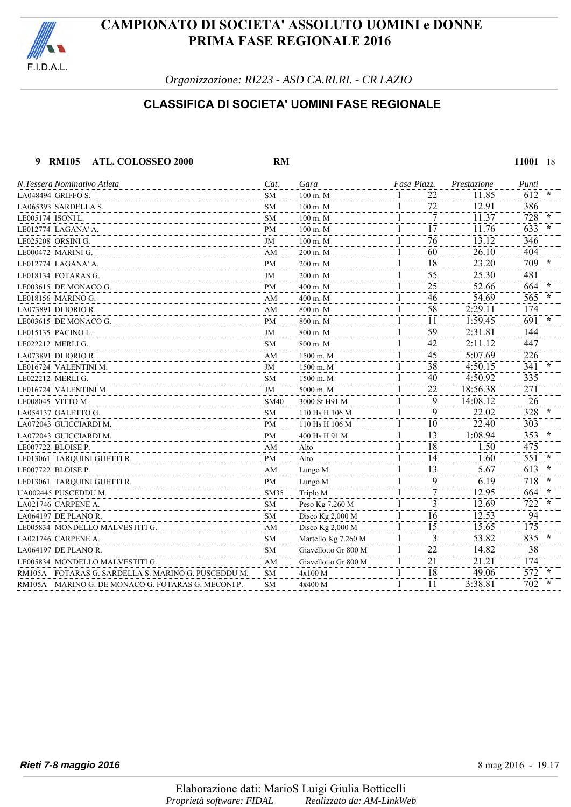

*Organizzazione: RI223 - ASD CA.RI.RI. - CR LAZIO*

### **CLASSIFICA DI SOCIETA' UOMINI FASE REGIONALE**

 **9 RM105 ATL. COLOSSEO 2000 RM 11001** 18

| N.Tessera Nominativo Atleta                         | Cat.        | Gara                 | Fase Piazz.        | Prestazione | Punti         |
|-----------------------------------------------------|-------------|----------------------|--------------------|-------------|---------------|
| LA048494 GRIFFO S.                                  | SM          | $100 \text{ m}$ . M  | 22<br>1            | 11.85       | 612           |
| LA065393 SARDELLA S.                                | <b>SM</b>   | $100$ m. M           | 72<br>1            | 12.91       | 386           |
| LE005174 ISONI L.                                   | <b>SM</b>   | $100 \text{ m}$ . M  | 7<br>1             | 11.37       | 728           |
| LE012774 LAGANA'A.                                  | <b>PM</b>   | $100 \text{ m}$ . M  | 17<br>1            | 11.76       | 633           |
| LE025208 ORSINI G.                                  | JM          | 100 m. M             | 76<br>1            | 13.12       | 346           |
| LE000472 MARINI G.                                  | AM          | 200 m. M             | 60<br>1            | 26.10       | 404           |
| LE012774  LAGANA' A.                                | <b>PM</b>   | $200 \text{ m}$ . M  | 18<br>1            | 23.20       | 709           |
| LE018134  FOTARAS G.                                | JM          | 200 m. M             | 55<br>1            | 25.30       | 481           |
| LE003615 DE MONACO G.                               | PM          | 400 m. M             | 25<br>1            | 52.66       | 664           |
| LE018156 MARINO G.                                  | AM          | 400 m. M             | 46<br>1            | 54.69       | 565           |
| LA073891 DI IORIO R.                                | AM          | 800 m. M             | 58<br>1            | 2:29.11     | 174           |
| LE003615 DE MONACO G.                               | PM          | 800 m. M             | 11<br>1            | 1:59.45     | 691           |
| LE015135 PACINO L.                                  | JM          | 800 m. M             | 59<br>1            | 2:31.81     | 144           |
| LE022212 MERLI G.                                   | <b>SM</b>   | 800 m. M             | 42<br>1            | 2:11.12     | 447           |
| LA073891 DI IORIO R.                                | AM          | 1500 m. M            | 45<br>1            | 5:07.69     | 226           |
| LE016724  VALENTINI M.                              | JM          | 1500 m. M            | 38<br>1            | 4:50.15     | 341           |
| LE022212 MERLI G.                                   | <b>SM</b>   | 1500 m. M            | 40<br>1            | 4:50.92     | 335           |
| LE016724  VALENTINI M.                              | JM          | 5000 m. M            | 22<br>1            | 18:56.38    | 271           |
| LE008045 VITTO M.                                   | <b>SM40</b> | 3000 St H91 M        | 9<br>1             | 14:08.12    | 26            |
| LA054137  GALETTO G.                                | SM          | 110 Hs H 106 M       | 9<br>1             | 22.02       | 328           |
| LA072043 GUICCIARDI M.                              | PM          | 110 Hs H 106 M       | 10<br>1            | 22.40       | 303           |
| LA072043  GUICCIARDI M.                             | PM          | 400 Hs H 91 M        | 13<br>1            | 1:08.94     | 353           |
| LE007722 BLOISE P.                                  | AM          | Alto                 | 18<br>1            | 1.50        | 475           |
| LE013061 TARQUINI GUETTI R.                         | PM          | Alto                 | 14<br>1            | 1.60        | 551           |
| LE007722 BLOISE P.                                  | AM          | Lungo M              | 13<br>1            | 5.67        | 613           |
| LE013061 TARQUINI GUETTI R.                         | PM          | Lungo M              | 9<br>1             | 6.19        | 718<br>$\ast$ |
| UA002445 PUSCEDDU M.                                | SM35        | Triplo M             | 7<br>1             | 12.95       | 664           |
| LA021746 CARPENE A.                                 | SM          | Peso Kg 7.260 M      | 3<br>1             | 12.69       | 722           |
| LA064197 DE PLANO R.                                | <b>SM</b>   | Disco Kg 2,000 M     | 16<br>1            | 12.53       | 94            |
| LE005834 MONDELLO MALVESTITI G.                     | AM          | Disco Kg 2,000 M     | 15<br>$\mathbf{1}$ | 15.65       | 175           |
| LA021746 CARPENE A.                                 | SM          | Martello Kg 7.260 M  | 3<br>1             | 53.82       | 835           |
| LA064197 DE PLANO R.                                | SM          | Giavellotto Gr 800 M | 22<br>1            | 14.82       | 38            |
| LE005834  MONDELLO MALVESTITI G.                    | AM          | Giavellotto Gr 800 M | 21<br>1            | 21.21       | 174           |
| RM105A FOTARAS G. SARDELLA S. MARINO G. PUSCEDDU M. | SM          | 4x100 M              | 18<br>1            | 49.06       | 572           |
| RM105A MARINO G. DE MONACO G. FOTARAS G. MECONI P.  | SM          | 4x400 M              | 11<br>1            | 3:38.81     | 702           |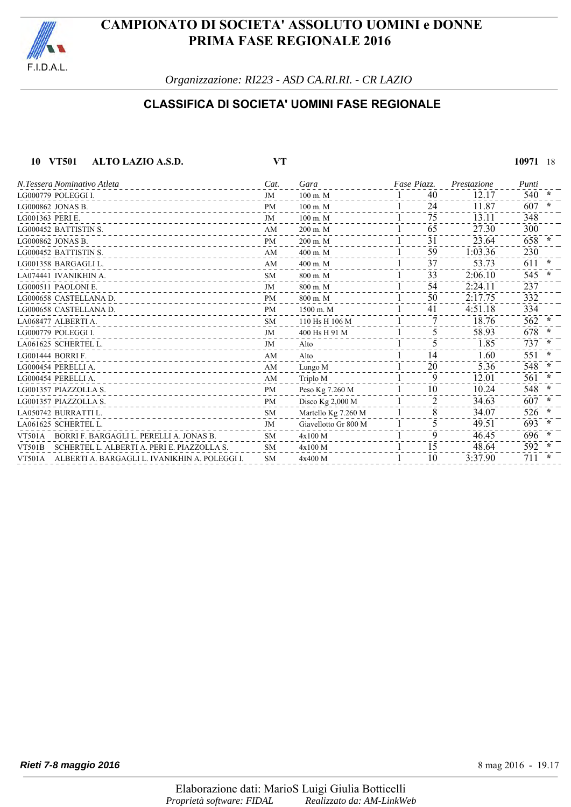

*Organizzazione: RI223 - ASD CA.RI.RI. - CR LAZIO*

### **CLASSIFICA DI SOCIETA' UOMINI FASE REGIONALE**

| 10 VT501<br>ALTO LAZIO A.S.D.                                | VT        |                      |             |    |             | 10971 | -18       |
|--------------------------------------------------------------|-----------|----------------------|-------------|----|-------------|-------|-----------|
| N.Tessera Nominativo Atleta                                  | Cat.      | Gara                 | Fase Piazz. |    | Prestazione | Punti |           |
| LG000779 POLEGGI I.<br><u>.</u>                              | <b>JM</b> | $100$ m. M           |             | 40 | 12.17       | 540   | $\star$   |
| LG000862 JONAS B.                                            | <b>PM</b> | $100 \text{ m}$ . M  |             | 24 | 11.87       | 607   | $\ast$    |
| LG001363 PERIE.                                              | <b>JM</b> | $100$ m. M           |             | 75 | 13.11       | 348   |           |
| LG000452 BATTISTIN S.                                        | AM        | $200$ m. M           |             | 65 | 27.30       | 300   |           |
| LG000862 JONAS B.                                            | <b>PM</b> | 200 m. M             |             | 31 | 23.64       | 658   | $\star$   |
| LG000452 BATTISTIN S.<br>_______________                     | AM        | 400 m. M             |             | 59 | 1:03.36     | 230   |           |
| LG001358 BARGAGLI L.                                         | AM        | 400 m. M             |             | 37 | 53.73       | 611   | $\star$   |
| LA074441 IVANIKHIN A.                                        | <b>SM</b> | 800 m. M             |             | 33 | 2:06.10     | 545   | $\star$   |
| LG000511 PAOLONIE.                                           | JM        | 800 m. M             |             | 54 | 2:24.11     | 237   |           |
| LG000658 CASTELLANA D.                                       | <b>PM</b> | 800 m. M             |             | 50 | 2:17.75     | 332   |           |
| LG000658 CASTELLANA D.<br><u>.</u>                           | <b>PM</b> | 1500 m. M            |             | 41 | 4:51.18     | 334   |           |
| LA068477 ALBERTI A.                                          | <b>SM</b> | 110 Hs H 106 M       |             | 7  | 18.76       | 562   | $\ast$    |
| LG000779 POLEGGI I.                                          | JM        | 400 Hs H 91 M        |             | 5  | 58.93       | 678   | $^\ast$   |
| LA061625 SCHERTEL L.                                         | JM        | Alto                 |             | 5  | 1.85        | 737   | $\star$   |
| LG001444 BORRI F.                                            | AM        | Alto                 |             | 14 | 1.60        | 551   | $^{\ast}$ |
| LG000454 PERELLI A.<br>_________________                     | AM        | Lungo M              |             | 20 | 5.36        | 548   | $\ast$    |
| LG000454 PERELLIA.                                           | AM        | Triplo M             |             | 9  | 12.01       | 561   | $\ast$    |
| LG001357 PIAZZOLLA S.                                        | PM        | Peso Kg 7.260 M      |             | 10 | 10.24       | 548   | $\star$   |
| LG001357 PIAZZOLLA S.                                        | <b>PM</b> | Disco Kg 2,000 M     |             | 2  | 34.63       | 607   | $\ast$    |
| LA050742 BURRATTI L.                                         | <b>SM</b> | Martello Kg 7.260 M  |             | 8  | 34.07       | 526   | $^\ast$   |
| LA061625 SCHERTEL L.                                         | JM        | Giavellotto Gr 800 M |             | 5  | 49.51       | 693   | $\ast$    |
| BORRI F. BARGAGLI L. PERELLI A. JONAS B.<br><b>VT501A</b>    | <b>SM</b> | 4x100 M              |             | 9  | 46.45       | 696   | $\star$   |
| SCHERTEL L. ALBERTI A. PERI E. PIAZZOLLA S.<br><b>VT501B</b> | <b>SM</b> | 4x100 M              |             | 15 | 48.64       | 592   | $\ast$    |
| VT501A ALBERTI A. BARGAGLI L. IVANIKHIN A. POLEGGI I.        | <b>SM</b> | 4x400 M              |             | 10 | 3:37.90     | 711   | $\star$   |
|                                                              |           |                      |             |    |             |       |           |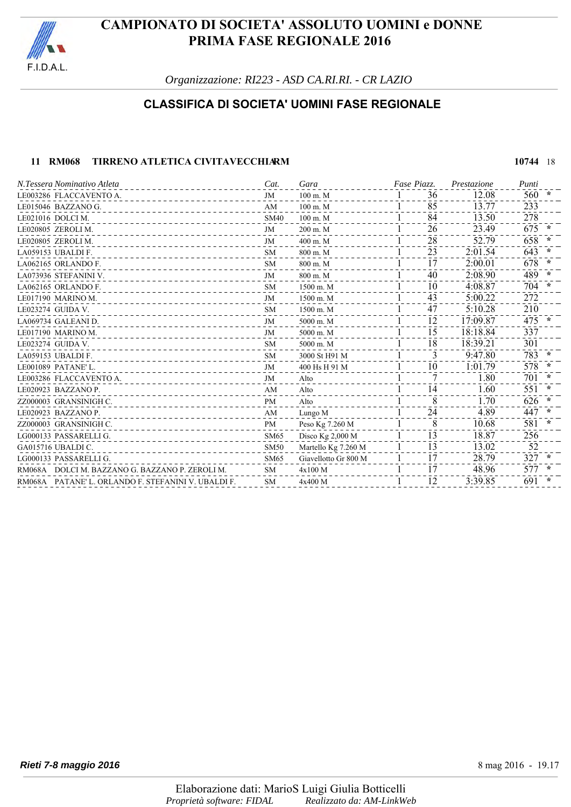

*Organizzazione: RI223 - ASD CA.RI.RI. - CR LAZIO*

### **CLASSIFICA DI SOCIETA' UOMINI FASE REGIONALE**

#### **11 RM068 TIRRENO ATLETICA CIVITAVECCHIARM 10744 18**

LE003286 FLACCAVENTO A.<br>
LE015046 BAZZANO G. 60 **AM** 100 m. M 36<br>
100 m. M 100 m. M 100 m. M 35<br>
13.77 233 LE015046 BAZZANO G.<br>LE021016 DOLCI M. 233<br>LE021016 DOLCI M. 378 LE021016 DOLCI M.<br>LE020805 ZEROLI M.<br>LE020805 ZEROLI M. LE020805 ZEROLI M.<br>LE020805 ZEROLI M. 200 m. M 200 m. M 200 m. M 200 m. M 26<br>LE020805 ZEROLI M. 200 m. M 400 m. M 400 m. M 400 m. M 261 23.79 ---- 25.79 658 LE020805 ZEROLI M. JM 400 m. M 281 52.79 658 **\*** LA059153 UBALDI F. 643 LA062165 ORLANDO F. **SM** 800 m. M 1 17 2:00.01 678 LA073936 STEFANINI V. **IM** 800 m. M  $1$  40 2:08.90 489  $*$ LA062165 ORLANDO F. **SM** 1500 m. M 10 4:08.87 704 LE017190 MARINO M.  $\frac{1500 \text{ m.M}}{1500 \text{ m.M}}$   $\frac{1}{1}$   $\frac{43}{43}$   $\frac{5:00.22}{272}$   $\frac{272}{47}$ LE023274 GUIDA V. 210<br>LE023274 GUIDA V. SM 1500 m. M 1 47 5:10.28 210 LA069734 GALEANI D.<br>LE017190 MARINO M. 337 COMPLETE 2000 m. M 3000 m. M 3000 m. M 3000 m. M 3000 m. M 3000 m. M 3000 m. M 337 LE017190 MARINO M. **IM** 5000 m. M 1 15 18:18.84 337 LE023274 GUIDA V. 301 LA059153 UBALDI F.<br>
LE001089 PATANE'L.<br>
LE001089 PATANE'L.<br>
578 LE001089 PATANE'L. 578 **\***<br>  $\frac{JM}{N}$  400 Hs H 91 M  $\frac{1}{10}$   $\frac{1}{2}$   $\frac{1}{701}$   $\frac{578}{78}$  \* LE003286 FLACCAVENTO A.<br>
LE003286 FLACCAVENTO A.<br>
LE020023 PAZZANO P. (2002) PAZZANO P. (2002) PAZZANO P. (2002) PAZZANO P. (2002) PAZZANO P. (2002) PAZZANO P. LE020923 BAZZANO P.<br>
2Z000003 GRANSINIGH C.<br>
2Z000003 GRANSINIGH C. PM Alto 1 8 1.70 626 \* ZZ000003 GRANSINIGH C. PM Alto 81 1.70 626 **\*** LE020923 BAZZANO P. **AM** Lungo M 24 4.89 447 zz000003 GRANSINIGH C. **PM** Peso Kg 7.260 M 81 1 8 **10.68** 581 LG000133 PASSARELLI G. SM65 Disco Kg 2,000 M 1 13 18.87 256 GA015716 UBALDI C.<br>
GA015716 UBALDI C. 2000 - SM50 Martello Kg 7.260 M 1 1 13.02 52<br>
LG000133 PASSARELLI G. SM65 Giavellotto Gr 800 M 1 17 28.79 327 LG000133 PASSARELLI G. **STARF AND STARF AND STARF AND STARF AND SM65** Giavellotto Gr 800 M 1 17 28.79 RM068A DOLCI M. BAZZANO G. BAZZANO P. ZEROLI M. SM 4x100 M 1 17 48.96 577 RM068A PATANE' L. ORLANDO F. STEFANINI V. UBALDI F. SM 4x400 M 1 12 3:39.85 691 **\*** *N.Tessera Nominativo Atleta Cat. Gara Piazz.Fase Prestazione Punti*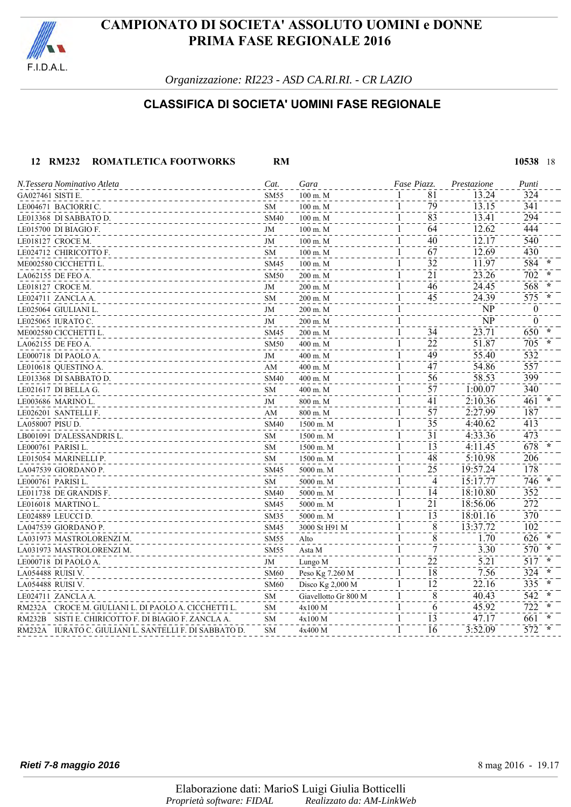

*Organizzazione: RI223 - ASD CA.RI.RI. - CR LAZIO*

### **CLASSIFICA DI SOCIETA' UOMINI FASE REGIONALE**

#### **12 RM232 ROMATLETICA FOOTWORKS RM 10538** 18

| N.Tessera Nominativo Atleta                            | Cat.        | Gara                 | Fase Piazz.                     | Prestazione | Punti                   |
|--------------------------------------------------------|-------------|----------------------|---------------------------------|-------------|-------------------------|
| GA027461 SISTI E.                                      | <b>SM55</b> | 100 m. M             | 81<br>$\mathbf{1}$              | 13.24       | 324                     |
| LE004671 BACIORRI C.                                   | SM          | 100 m. M             | 79<br>1                         | 13.15       | 341                     |
| LE013368 DI SABBATO D.                                 | <b>SM40</b> | $100 \text{ m}$ . M  | 83<br>1                         | 13.41       | 294                     |
| LE015700 DI BIAGIO F.                                  | JM          | $100$ m. M           | 64<br>1                         | 12.62       | 444                     |
| LE018127 CROCE M.                                      | JM          | $100$ m. M           | 40<br>1                         | 12.17       | 540                     |
| LE024712 CHIRICOTTO F.                                 | <b>SM</b>   | $100$ m. M           | 67<br>1                         | 12.69       | 430                     |
| ME002580 CICCHETTI L.                                  | <b>SM45</b> | $100 \text{ m}$ . M  | $\overline{32}$<br>1            | 11.97       | 584                     |
| LA062155 DE FEO A.                                     | <b>SM50</b> | 200 m. M             | 21<br>1                         | 23.26       | 702                     |
| LE018127 CROCE M.                                      | JM          | 200 m. M             | 46<br>$\mathbf l$               | 24.45       | 568                     |
| LE024711 ZANCLA A.                                     | SM          | 200 m. M             | 45<br>1                         | 24.39       | 575                     |
| LE025064 GIULIANI L.                                   | JM          | 200 m. M             | 1                               | NP          | $\boldsymbol{0}$        |
| LE025065 IURATO C.                                     | JM          | 200 m. M             | 1                               | NP          | $\boldsymbol{0}$        |
| ME002580 CICCHETTI L.                                  | <b>SM45</b> | 200 m. M             | 34<br>$\mathbf{1}$              | 23.71       | 650                     |
| LA062155 DE FEO A.                                     | <b>SM50</b> | 400 m. M             | $\overline{2}\overline{2}$<br>1 | 51.87       | 705                     |
| LE000718 DI PAOLO A.                                   | JM          | 400 m. M             | $\overline{49}$<br>1            | 55.40       | $\overline{532}$        |
| LE010618 QUESTINO A.                                   | AM          | 400 m. M             | $\overline{47}$<br>1            | 54.86       | 557                     |
| LE013368 DI SABBATO D.                                 | <b>SM40</b> | 400 m. M             | 1<br>56                         | 58.53       | 399                     |
| LE021617 DI BELLA G.                                   | SM          | 400 m. M             | 57<br>1                         | 1:00.07     | 340                     |
| LE003686 MARINO L.                                     | JM          | 800 m. M             | 41<br>1                         | 2:10.36     | 461                     |
| LE026201 SANTELLI F.                                   | AM          | 800 m. M             | 57<br>1                         | 2:27.99     | 187                     |
| LA058007 PISU D.                                       | <b>SM40</b> | 1500 m. M            | 35<br>1                         | 4:40.62     | 413                     |
| LB001091 D'ALESSANDRIS L.                              | SM          | 1500 m. M            | 31<br>1                         | 4:33.36     | 473                     |
| LE000761 PARISI L.                                     | <b>SM</b>   | 1500 m. M            | 13<br>1                         | 4:11.45     | 678                     |
| LE015054 MARINELLI P.                                  | <b>SM</b>   | 1500 m. M            | 48<br>1                         | 5:10.98     | 206                     |
| LA047539 GIORDANO P.                                   | <b>SM45</b> | 5000 m. M            | 25<br>1                         | 19:57.24    | 178                     |
| LE000761 PARISI L.                                     | SM          | 5000 m. M            | 1<br>4                          | 15:17.77    | 746                     |
| LE011738 DE GRANDIS F.                                 | <b>SM40</b> | 5000 m. M            | 14<br>1                         | 18:10.80    | 352                     |
| LE016018 MARTINO L.                                    | <b>SM45</b> | 5000 m. M            | 21<br>1                         | 18:56.06    | 272                     |
| LE024889 LEUCCI D.                                     | SM35        | 5000 m. M            | $\overline{1}\overline{3}$<br>1 | 18:01.16    | $\bar{3}\bar{7}\bar{0}$ |
| LA047539 GIORDANO P.                                   | <b>SM45</b> | 3000 St H91 M        | $\overline{8}$<br>1             | 13:37.72    | $10\overline{2}$        |
| LA031973 MASTROLORENZI M.                              | <b>SM55</b> | Alto                 | 8                               | 1.70        | 626                     |
| LA031973 MASTROLORENZI M.                              | <b>SM55</b> | Asta M               | 1<br>7                          | 3.30        | 570                     |
| LE000718 DI PAOLO A.                                   | JM          | Lungo M              | 22<br>1                         | 5.21        | 517                     |
| LA054488 RUISI V.                                      | <b>SM60</b> | Peso Kg 7.260 M      | 18<br>1                         | 7.56        | 324                     |
| LA054488 RUISI V.                                      | <b>SM60</b> | Disco Kg 2,000 M     | 12<br>1                         | 22.16       | 335                     |
| LE024711 ZANCLA A.                                     | SM          | Giavellotto Gr 800 M | 8<br>1                          | 40.43       | 542                     |
| RM232A CROCE M. GIULIANI L. DI PAOLO A. CICCHETTI L.   | <b>SM</b>   | 4x100 M              | 6<br>1                          | 45.92       | 722                     |
| RM232B SISTI E. CHIRICOTTO F. DI BIAGIO F. ZANCLA A.   | <b>SM</b>   | 4x100 M              | 13<br>1                         | 47.17       | 661                     |
| RM232A IURATO C. GIULIANI L. SANTELLI F. DI SABBATO D. | <b>SM</b>   | 4x400 M              | 16<br>1                         | 3:52.09     | 572                     |
|                                                        |             |                      |                                 |             |                         |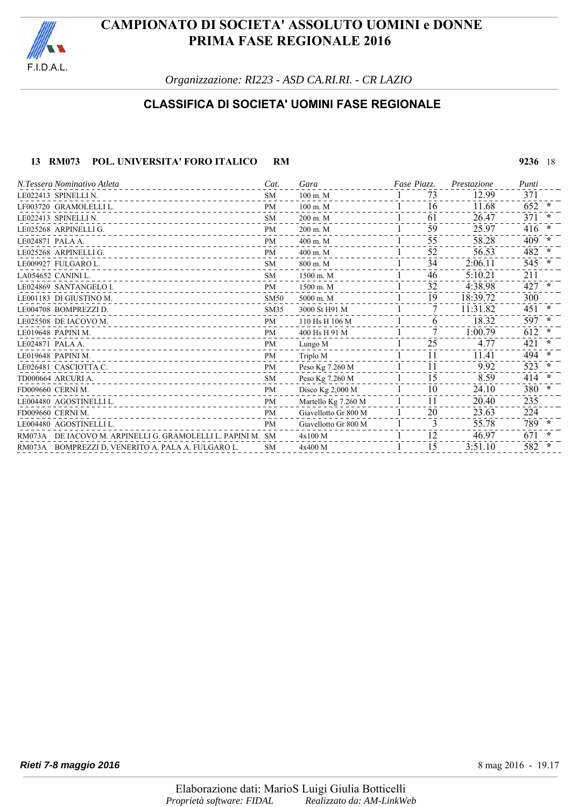

*Organizzazione: RI223 - ASD CA.RI.RI. - CR LAZIO*

### **CLASSIFICA DI SOCIETA' UOMINI FASE REGIONALE**

#### **13 RM073 POL. UNIVERSITA' FORO ITALICO RM 9236** 18

LE022413 SPINELLI N. SM 100 m. M 731 12.99 371 LF003720 GRAMOLELLI L.<br>
LE022413 SPINELLI N. SM 200 m. M 1 61 26.47 371 \* LE022413 SPINELLI N.<br>
LE022413 SPINELLI N.<br>
LE025268 ARPINELLI G.<br>
PM 200 m. M 300 m. M 39 35.97 416 \* LE025268 ARPINELLI G.<br>
LE024871 PALA A.<br>
LE024871 PALA A.<br>
<sup>PM</sup> 400 m. M<br>
<sup>400</sup> m. M<br>
<sup>400</sup> m. M<br>
<sup>400</sup> m. M LE024871 PALA A.<br>
LE024871 PALA A.<br>
LE025268 ARPINELLI G.<br>
PM 400 m. M 52 56.53 58.28 56.53 482 \* LE025268 ARPINELLI G. **PM** 400 m. M 52 56.53 482 LE009927 FULGARO L. SM 800 m. M  $1$  34 2:06.11 545  $*$ LA054652 CANINI L. SM 1500 m. M 1 46 5:10.21 211 LE024869 SANTANGELO I. **PM** 1500 m. M 32 4:38.98 427 LE001183 DI GIUSTINO M. SM50 5000 m. M LE004708 BOMPREZZI D.<br>
LE025508 DE IACOVO M.<br>
PM 110 H<sub>S</sub> H 106 M 106 M 1 6 1 32 LE025508 DE IACOVO M. PM 110 Hs H 106 M 61 18.32 597 **\*** LE019648 PAPINI M.<br>
LE019648 PAPINI M.<br>
LE024871 PALA A. PM 71 1:00.79 612 **\*** LE024871 PALA A. PM Lungo M 251 4.77 421 **\*** LE019648 PAPINI M. PM Triplo M 111 11.41 494 **\*** LE026481 CASCIOTTA C.<br>
The CASCIOTTA C.<br>
The CASCIOTTA C.<br>
The Casciotta Casciotta C.<br>
The Casciotta Casciotta C.<br>
The Casciotta Casciotta C.<br>
The Casciotta Casciotta C.<br>
The Casciotta Casciotta C.<br>
The Casciotta Casciotta TD000664 ARCURI A.<br>
FOR THE STATE AND THE STATE AND THE STATE AND THE STATE AND THE STATE AND THE STATE AND THE STATE AND THE STATE AND THE STATE AND THE STATE AND THE STATE AND THE STATE AND THE STATE AND THE STATE AND TH FD009660 CERNI M. **PM** Disco Kg 2,000 M 1 10 24.10 380 LE004480 AGOSTINELLI L. PM Martello Kg 7.260 M 1 11 20.40 235 FD009660 CERNI M. 23.63 224 LE004480 AGOSTINELLI L.<br>
RM073A DE IACOVO M. ARPINELLI G. GRAMOLELLI L. PAPINI M. SM 4x100 M 31 31 31 31 35.78 789 **\***<br>
RM073A DE IACOVO M. ARPINELLI G. GRAMOLELLI L. PAPINI M. SM 4x100 M 31 32 346.97 671 RM073A DE IACOVO M. ARPINELLI G. GRAMOLELLI L. PAPINI M. SM 4x100 M<br>RM073A BOMPREZZI D. VENERITO A. PALA A. FULGARO L. SM 4x400 M  $1$  15 3:51.10 582 RM073A BOMPREZZI D. VENERITO A. PALA A. FULGARO L. SM 4x400 M 1 15 3:51.10 582 *N.Tessera Nominativo Atleta Cat. Gara Piazz.Fase Prestazione Punti*